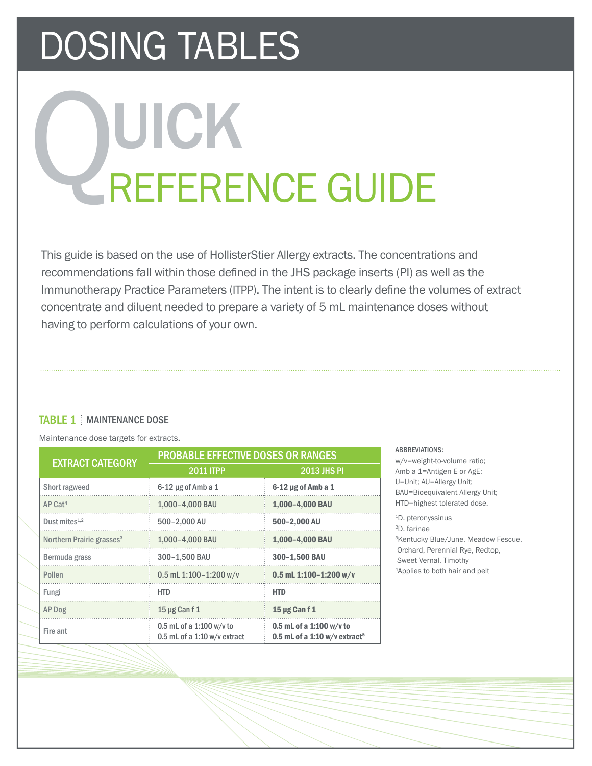# DOSING TABLES

# REFERENCE GUIDE UICK

This guide is based on the use of HollisterStier Allergy extracts. The concentrations and recommendations fall within those defined in the JHS package inserts (PI) as well as the Immunotherapy Practice Parameters (ITPP). The intent is to clearly define the volumes of extract concentrate and diluent needed to prepare a variety of 5 mL maintenance doses without having to perform calculations of your own.

# TABLE 1 | MAINTENANCE DOSE

Maintenance dose targets for extracts.

| <b>EXTRACT CATEGORY</b>               | <b>PROBABLE EFFECTIVE DOSES OR RANGES</b>                |                                                                         |  |
|---------------------------------------|----------------------------------------------------------|-------------------------------------------------------------------------|--|
|                                       | 2011 ITPP                                                | <b>2013 JHS PI</b>                                                      |  |
| Short ragweed                         | $6-12$ µg of Amb a 1                                     | $6-12$ µg of Amb a 1                                                    |  |
| $AP$ Cat <sup>4</sup>                 | 1,000-4,000 BAU                                          | 1,000-4,000 BAU                                                         |  |
| Dust mites $1,2$                      | 500-2.000 AU                                             | 500-2,000 AU                                                            |  |
| Northern Prairie grasses <sup>3</sup> | 1,000-4,000 BAU                                          | 1,000-4,000 BAU                                                         |  |
| Bermuda grass                         | 300-1.500 BAU                                            | 300-1,500 BAU                                                           |  |
| Pollen                                | 0.5 mL 1:100-1:200 w/v                                   | 0.5 mL 1:100-1:200 w/v                                                  |  |
| Fungi                                 | <b>HTD</b>                                               | <b>HTD</b>                                                              |  |
| AP Dog                                | 15 µg Can f 1                                            | 15 µg Can f 1                                                           |  |
| Fire ant                              | 0.5 mL of a 1:100 w/v to<br>0.5 mL of a 1:10 w/v extract | 0.5 mL of a 1:100 w/v to<br>0.5 mL of a 1:10 $w/v$ extract <sup>5</sup> |  |

#### ABBREVIATIONS:

w/v=weight-to-volume ratio; Amb a 1=Antigen E or AgE; U=Unit; AU=Allergy Unit; BAU=Bioequivalent Allergy Unit; HTD=highest tolerated dose.

1D. pteronyssinus 2D. farinae 3Kentucky Blue/June, Meadow Fescue, Orchard, Perennial Rye, Redtop, Sweet Vernal, Timothy 4Applies to both hair and pelt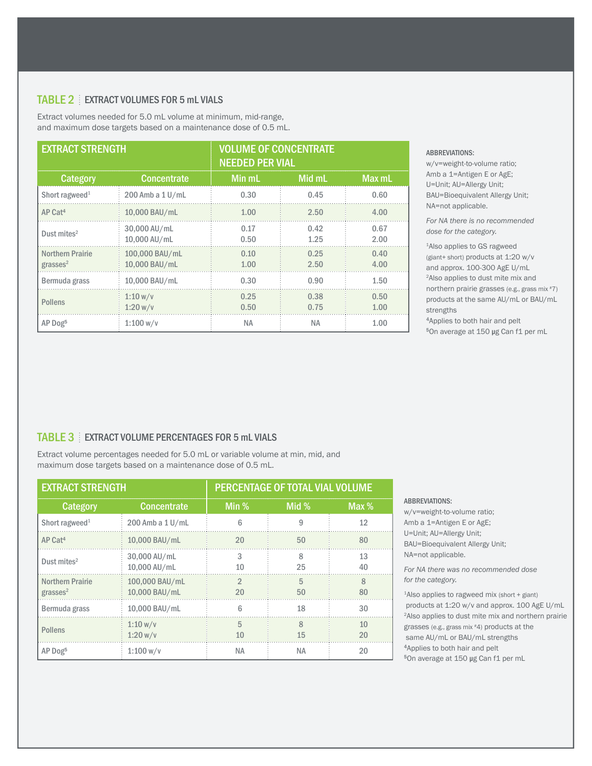# TABLE 2 EXTRACT VOLUMES FOR 5 mL VIALS

Extract volumes needed for 5.0 mL volume at minimum, mid-range, and maximum dose targets based on a maintenance dose of 0.5 mL.

| <b>EXTRACT STRENGTH</b>                         |                                 | <b>VOLUME OF CONCENTRATE</b><br><b>NEEDED PER VIAL</b> |              |              |
|-------------------------------------------------|---------------------------------|--------------------------------------------------------|--------------|--------------|
| Category                                        | <b>Concentrate</b>              | <b>Min mL</b>                                          | Mid mL       | Max mL       |
| Short ragweed <sup>1</sup>                      | 200 Amb a 1 U/mL                | 0.30                                                   | 0.45         | 0.60         |
| AP Cat <sup>4</sup>                             | 10,000 BAU/mL                   | 1.00                                                   | 2.50         | 4.00         |
| Dust mites $2$                                  | 30,000 AU/mL<br>10,000 AU/mL    | 0.17<br>0.50                                           | 0.42<br>1.25 | 0.67<br>2.00 |
| <b>Northern Prairie</b><br>grasses <sup>2</sup> | 100,000 BAU/mL<br>10,000 BAU/mL | 0.10<br>1.00                                           | 0.25<br>2.50 | 0.40<br>4.00 |
| Bermuda grass                                   | 10,000 BAU/mL                   | 0.30                                                   | 0.90         | 1.50         |
| <b>Pollens</b>                                  | 1:10 w/v<br>1:20 w/v            | 0.25<br>0.50                                           | 0.38<br>0.75 | 0.50<br>1.00 |
| AP Dog <sup>5</sup>                             | 1:100 w/v                       | <b>NA</b>                                              | <b>NA</b>    | 1.00         |

#### ABBREVIATIONS:

w/v=weight-to-volume ratio; Amb a 1=Antigen E or AgE; U=Unit; AU=Allergy Unit; BAU=Bioequivalent Allergy Unit; NA=not applicable.

*For NA there is no recommended dose for the category.*

1Also applies to GS ragweed (giant+ short) products at 1:20 w/v and approx. 100-300 AgE U/mL 2Also applies to dust mite mix and northern prairie grasses (e.g., grass mix #7) products at the same AU/mL or BAU/mL strengths

Applies to both hair and pelt <sup>5</sup>On average at 150 μg Can f1 per mL

### TABLE 3 EXTRACT VOLUME PERCENTAGES FOR 5 mL VIALS

Extract volume percentages needed for 5.0 mL or variable volume at min, mid, and maximum dose targets based on a maintenance dose of 0.5 mL.

| <b>EXTRACT STRENGTH</b>                         |                                 | PERCENTAGE OF TOTAL VIAL VOLUME |                    |                    |  |
|-------------------------------------------------|---------------------------------|---------------------------------|--------------------|--------------------|--|
| <b>Category</b>                                 | <b>Concentrate</b>              | Min %                           | Mid %              | Max $%$            |  |
| Short ragweed <sup>1</sup>                      | 200 Amb a 1 U/mL                | 6                               | 9                  | 12                 |  |
| AP Cat <sup>4</sup>                             | 10,000 BAU/mL                   | 20                              | 50                 | 80                 |  |
| Dust mites $2$                                  | 30,000 AU/mL<br>10,000 AU/mL    | 3<br>10                         | 8<br>25            | 13<br>40           |  |
| <b>Northern Prairie</b><br>grasses <sup>2</sup> | 100,000 BAU/mL<br>10,000 BAU/mL | $\mathfrak{D}$<br>20            | 5<br>50            | $\mathsf{R}$<br>80 |  |
| Bermuda grass                                   | 10,000 BAU/mL                   | հ                               | 18                 | 30                 |  |
| <b>Pollens</b>                                  | 1:10 w/v<br>1:20 w/v            | 5<br>10                         | $\mathsf{R}$<br>15 | 10<br>20           |  |
| AP Dog <sup>5</sup>                             | 1:100 w/v                       | <b>NA</b>                       | ΝA                 | 20                 |  |

#### ABBREVIATIONS:

w/v=weight-to-volume ratio; Amb a 1=Antigen E or AgE; U=Unit; AU=Allergy Unit; BAU=Bioequivalent Allergy Unit; NA=not applicable.

*For NA there was no recommended dose for the category.*

1Also applies to ragweed mix (short + giant) products at 1:20 w/v and approx. 100 AgE U/mL 2Also applies to dust mite mix and northern prairie grasses (e.g., grass mix #4) products at the same AU/mL or BAU/mL strengths Applies to both hair and pelt ⁵On average at 150 μg Can f1 per mL